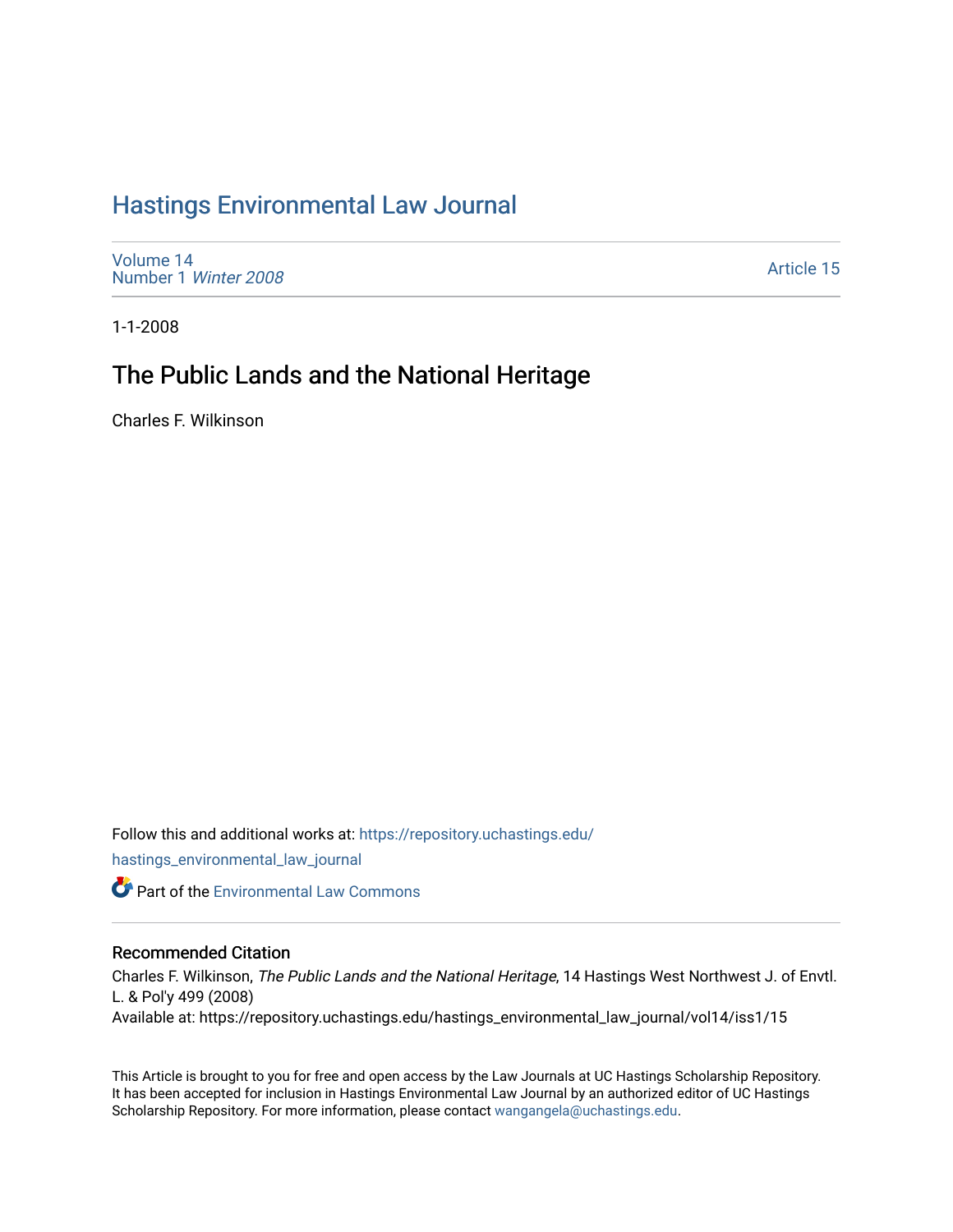# [Hastings Environmental Law Journal](https://repository.uchastings.edu/hastings_environmental_law_journal)

[Volume 14](https://repository.uchastings.edu/hastings_environmental_law_journal/vol14) [Number 1](https://repository.uchastings.edu/hastings_environmental_law_journal/vol14/iss1) Winter 2008

[Article 15](https://repository.uchastings.edu/hastings_environmental_law_journal/vol14/iss1/15) 

1-1-2008

# The Public Lands and the National Heritage

Charles F. Wilkinson

Follow this and additional works at: [https://repository.uchastings.edu/](https://repository.uchastings.edu/hastings_environmental_law_journal?utm_source=repository.uchastings.edu%2Fhastings_environmental_law_journal%2Fvol14%2Fiss1%2F15&utm_medium=PDF&utm_campaign=PDFCoverPages) [hastings\\_environmental\\_law\\_journal](https://repository.uchastings.edu/hastings_environmental_law_journal?utm_source=repository.uchastings.edu%2Fhastings_environmental_law_journal%2Fvol14%2Fiss1%2F15&utm_medium=PDF&utm_campaign=PDFCoverPages) 

**Part of the [Environmental Law Commons](http://network.bepress.com/hgg/discipline/599?utm_source=repository.uchastings.edu%2Fhastings_environmental_law_journal%2Fvol14%2Fiss1%2F15&utm_medium=PDF&utm_campaign=PDFCoverPages)** 

# Recommended Citation

Charles F. Wilkinson, The Public Lands and the National Heritage, 14 Hastings West Northwest J. of Envtl. L. & Pol'y 499 (2008) Available at: https://repository.uchastings.edu/hastings\_environmental\_law\_journal/vol14/iss1/15

This Article is brought to you for free and open access by the Law Journals at UC Hastings Scholarship Repository. It has been accepted for inclusion in Hastings Environmental Law Journal by an authorized editor of UC Hastings Scholarship Repository. For more information, please contact [wangangela@uchastings.edu.](mailto:wangangela@uchastings.edu)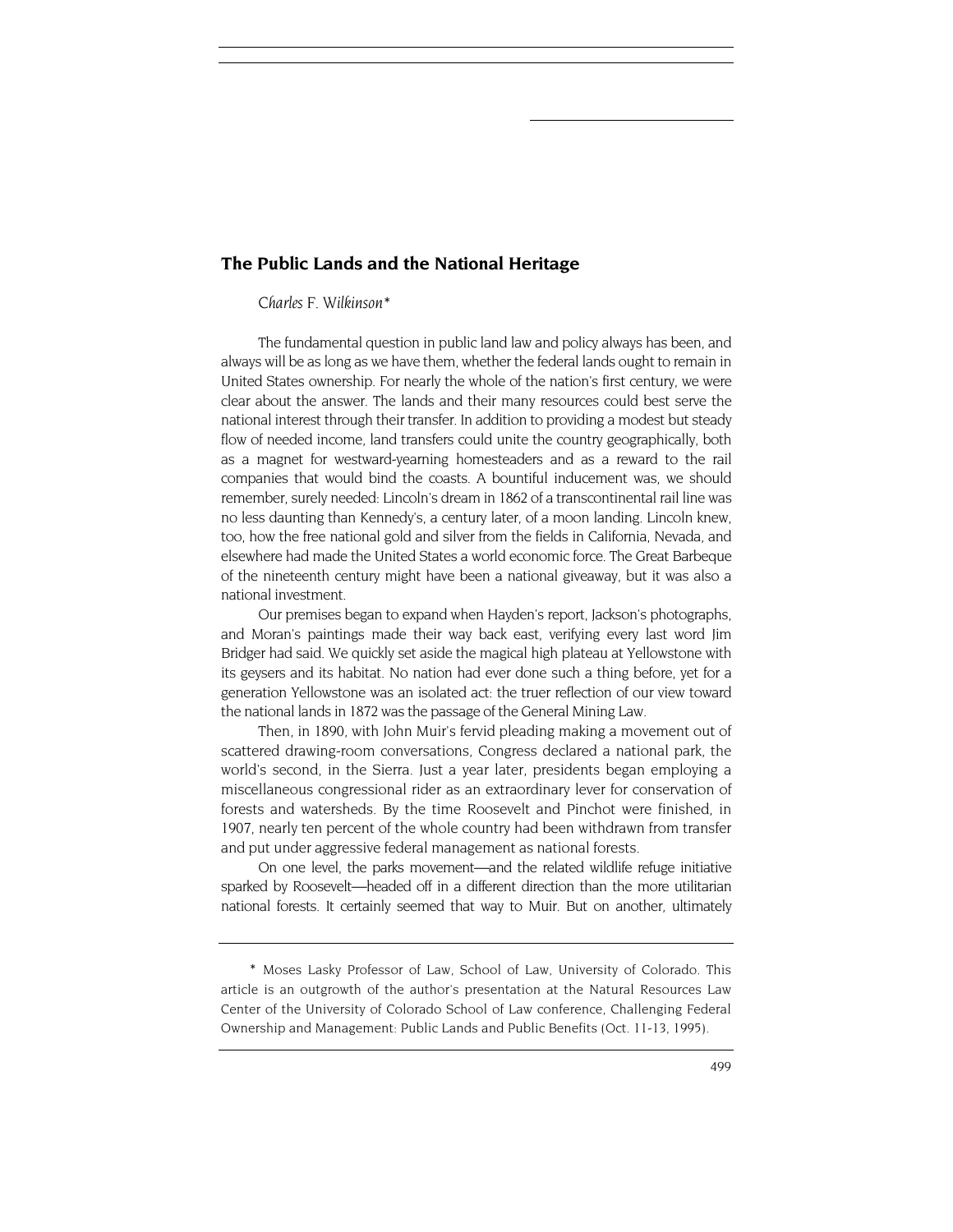# **The Public Lands and the National Heritage**

## *Charles F. Wilkinso[n\\*](#page-1-0)*

The fundamental question in public land law and policy always has been, and always will be as long as we have them, whether the federal lands ought to remain in United States ownership. For nearly the whole of the nation's first century, we were clear about the answer. The lands and their many resources could best serve the national interest through their transfer. In addition to providing a modest but steady flow of needed income, land transfers could unite the country geographically, both as a magnet for westward-yearning homesteaders and as a reward to the rail companies that would bind the coasts. A bountiful inducement was, we should remember, surely needed: Lincoln's dream in 1862 of a transcontinental rail line was no less daunting than Kennedy's, a century later, of a moon landing. Lincoln knew, too, how the free national gold and silver from the fields in California, Nevada, and elsewhere had made the United States a world economic force. The Great Barbeque of the nineteenth century might have been a national giveaway, but it was also a national investment.

Our premises began to expand when Hayden's report, Jackson's photographs, and Moran's paintings made their way back east, verifying every last word Jim Bridger had said. We quickly set aside the magical high plateau at Yellowstone with its geysers and its habitat. No nation had ever done such a thing before, yet for a generation Yellowstone was an isolated act: the truer reflection of our view toward the national lands in 1872 was the passage of the General Mining Law.

Then, in 1890, with John Muir's fervid pleading making a movement out of scattered drawing-room conversations, Congress declared a national park, the world's second, in the Sierra. Just a year later, presidents began employing a miscellaneous congressional rider as an extraordinary lever for conservation of forests and watersheds. By the time Roosevelt and Pinchot were finished, in 1907, nearly ten percent of the whole country had been withdrawn from transfer and put under aggressive federal management as national forests.

On one level, the parks movement—and the related wildlife refuge initiative sparked by Roosevelt—headed off in a different direction than the more utilitarian national forests. It certainly seemed that way to Muir. But on another, ultimately

<span id="page-1-0"></span><sup>\*</sup> Moses Lasky Professor of Law, School of Law, University of Colorado. This article is an outgrowth of the author's presentation at the Natural Resources Law Center of the University of Colorado School of Law conference, Challenging Federal Ownership and Management: Public Lands and Public Benefits (Oct. 11-13, 1995).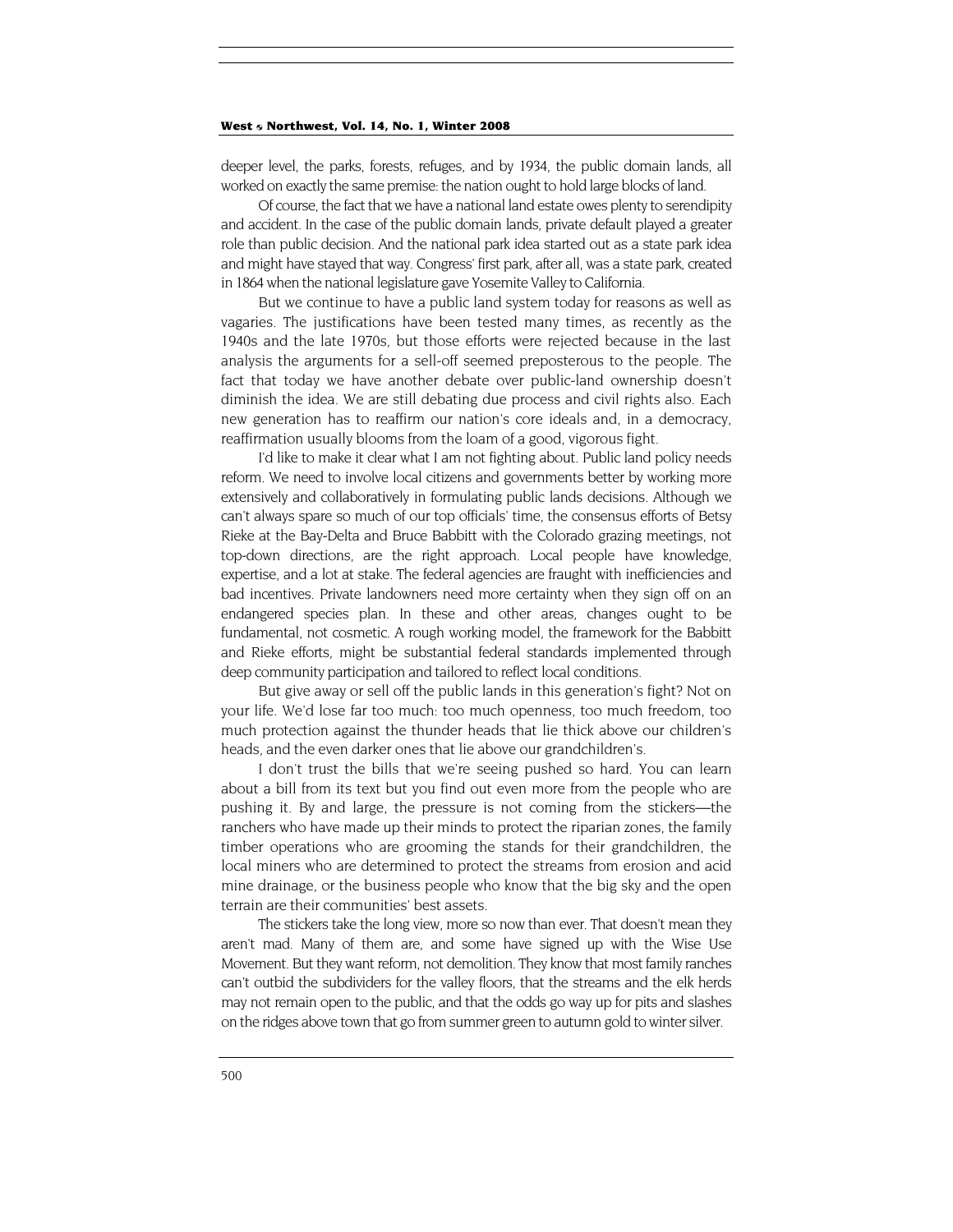deeper level, the parks, forests, refuges, and by 1934, the public domain lands, all worked on exactly the same premise: the nation ought to hold large blocks of land.

Of course, the fact that we have a national land estate owes plenty to serendipity and accident. In the case of the public domain lands, private default played a greater role than public decision. And the national park idea started out as a state park idea and might have stayed that way. Congress' first park, after all, was a state park, created in 1864 when the national legislature gave Yosemite Valley to California.

But we continue to have a public land system today for reasons as well as vagaries. The justifications have been tested many times, as recently as the 1940s and the late 1970s, but those efforts were rejected because in the last analysis the arguments for a sell-off seemed preposterous to the people. The fact that today we have another debate over public-land ownership doesn't diminish the idea. We are still debating due process and civil rights also. Each new generation has to reaffirm our nation's core ideals and, in a democracy, reaffirmation usually blooms from the loam of a good, vigorous fight.

I'd like to make it clear what I am not fighting about. Public land policy needs reform. We need to involve local citizens and governments better by working more extensively and collaboratively in formulating public lands decisions. Although we can't always spare so much of our top officials' time, the consensus efforts of Betsy Rieke at the Bay-Delta and Bruce Babbitt with the Colorado grazing meetings, not top-down directions, are the right approach. Local people have knowledge, expertise, and a lot at stake. The federal agencies are fraught with inefficiencies and bad incentives. Private landowners need more certainty when they sign off on an endangered species plan. In these and other areas, changes ought to be fundamental, not cosmetic. A rough working model, the framework for the Babbitt and Rieke efforts, might be substantial federal standards implemented through deep community participation and tailored to reflect local conditions.

But give away or sell off the public lands in this generation's fight? Not on your life. We'd lose far too much: too much openness, too much freedom, too much protection against the thunder heads that lie thick above our children's heads, and the even darker ones that lie above our grandchildren's.

I don't trust the bills that we're seeing pushed so hard. You can learn about a bill from its text but you find out even more from the people who are pushing it. By and large, the pressure is not coming from the stickers—the ranchers who have made up their minds to protect the riparian zones, the family timber operations who are grooming the stands for their grandchildren, the local miners who are determined to protect the streams from erosion and acid mine drainage, or the business people who know that the big sky and the open terrain are their communities' best assets.

The stickers take the long view, more so now than ever. That doesn't mean they aren't mad. Many of them are, and some have signed up with the Wise Use Movement. But they want reform, not demolition. They know that most family ranches can't outbid the subdividers for the valley floors, that the streams and the elk herds may not remain open to the public, and that the odds go way up for pits and slashes on the ridges above town that go from summer green to autumn gold to winter silver.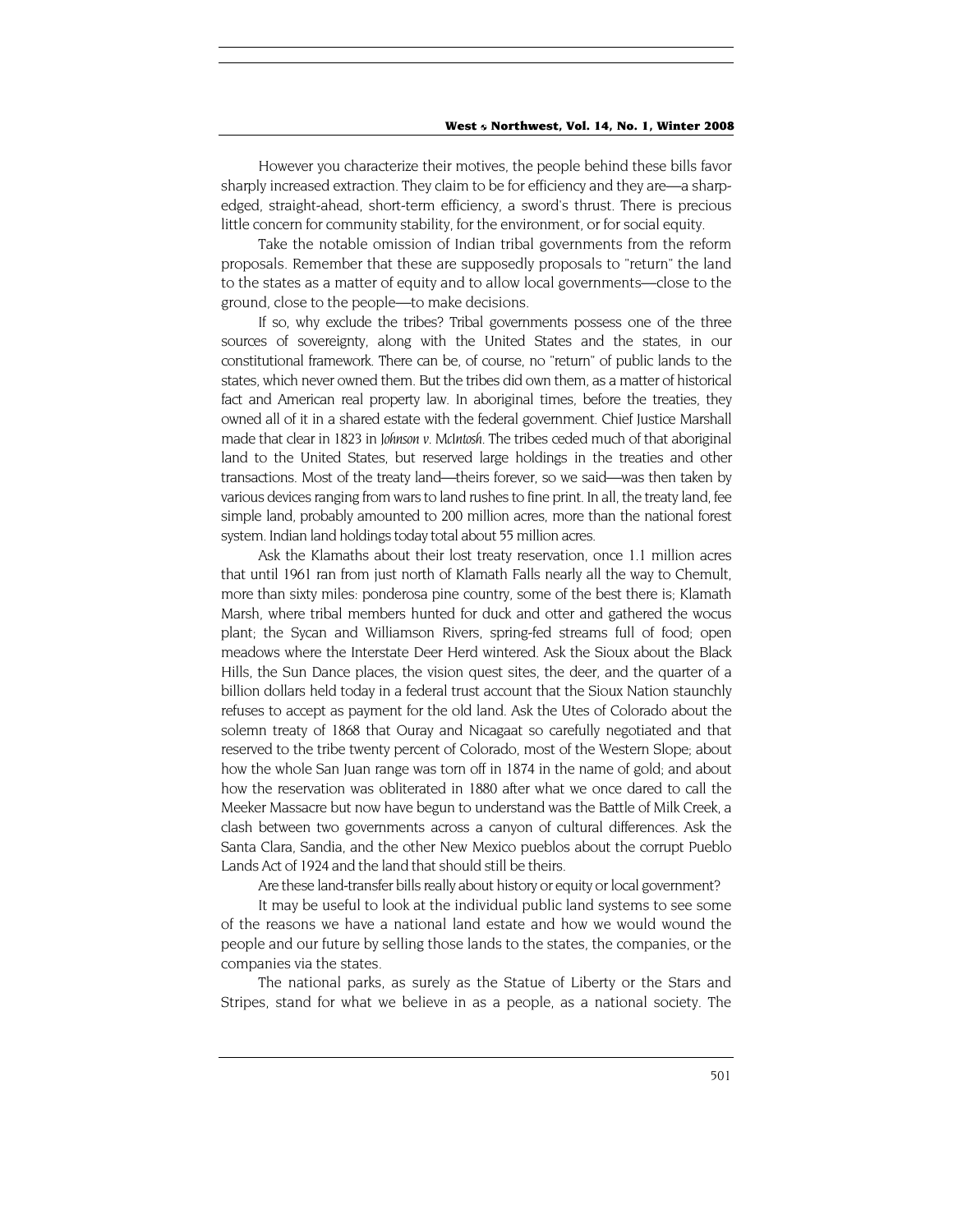However you characterize their motives, the people behind these bills favor sharply increased extraction. They claim to be for efficiency and they are—a sharpedged, straight-ahead, short-term efficiency, a sword's thrust. There is precious little concern for community stability, for the environment, or for social equity.

Take the notable omission of Indian tribal governments from the reform proposals. Remember that these are supposedly proposals to "return" the land to the states as a matter of equity and to allow local governments—close to the ground, close to the people—to make decisions.

If so, why exclude the tribes? Tribal governments possess one of the three sources of sovereignty, along with the United States and the states, in our constitutional framework. There can be, of course, no "return" of public lands to the states, which never owned them. But the tribes did own them, as a matter of historical fact and American real property law. In aboriginal times, before the treaties, they owned all of it in a shared estate with the federal government. Chief Justice Marshall made that clear in 1823 in *Johnson v. McIntosh*. The tribes ceded much of that aboriginal land to the United States, but reserved large holdings in the treaties and other transactions. Most of the treaty land—theirs forever, so we said—was then taken by various devices ranging from wars to land rushes to fine print. In all, the treaty land, fee simple land, probably amounted to 200 million acres, more than the national forest system. Indian land holdings today total about 55 million acres.

Ask the Klamaths about their lost treaty reservation, once 1.1 million acres that until 1961 ran from just north of Klamath Falls nearly all the way to Chemult, more than sixty miles: ponderosa pine country, some of the best there is; Klamath Marsh, where tribal members hunted for duck and otter and gathered the wocus plant; the Sycan and Williamson Rivers, spring-fed streams full of food; open meadows where the Interstate Deer Herd wintered. Ask the Sioux about the Black Hills, the Sun Dance places, the vision quest sites, the deer, and the quarter of a billion dollars held today in a federal trust account that the Sioux Nation staunchly refuses to accept as payment for the old land. Ask the Utes of Colorado about the solemn treaty of 1868 that Ouray and Nicagaat so carefully negotiated and that reserved to the tribe twenty percent of Colorado, most of the Western Slope; about how the whole San Juan range was torn off in 1874 in the name of gold; and about how the reservation was obliterated in 1880 after what we once dared to call the Meeker Massacre but now have begun to understand was the Battle of Milk Creek, a clash between two governments across a canyon of cultural differences. Ask the Santa Clara, Sandia, and the other New Mexico pueblos about the corrupt Pueblo Lands Act of 1924 and the land that should still be theirs.

Are these land-transfer bills really about history or equity or local government?

It may be useful to look at the individual public land systems to see some of the reasons we have a national land estate and how we would wound the people and our future by selling those lands to the states, the companies, or the companies via the states.

The national parks, as surely as the Statue of Liberty or the Stars and Stripes, stand for what we believe in as a people, as a national society. The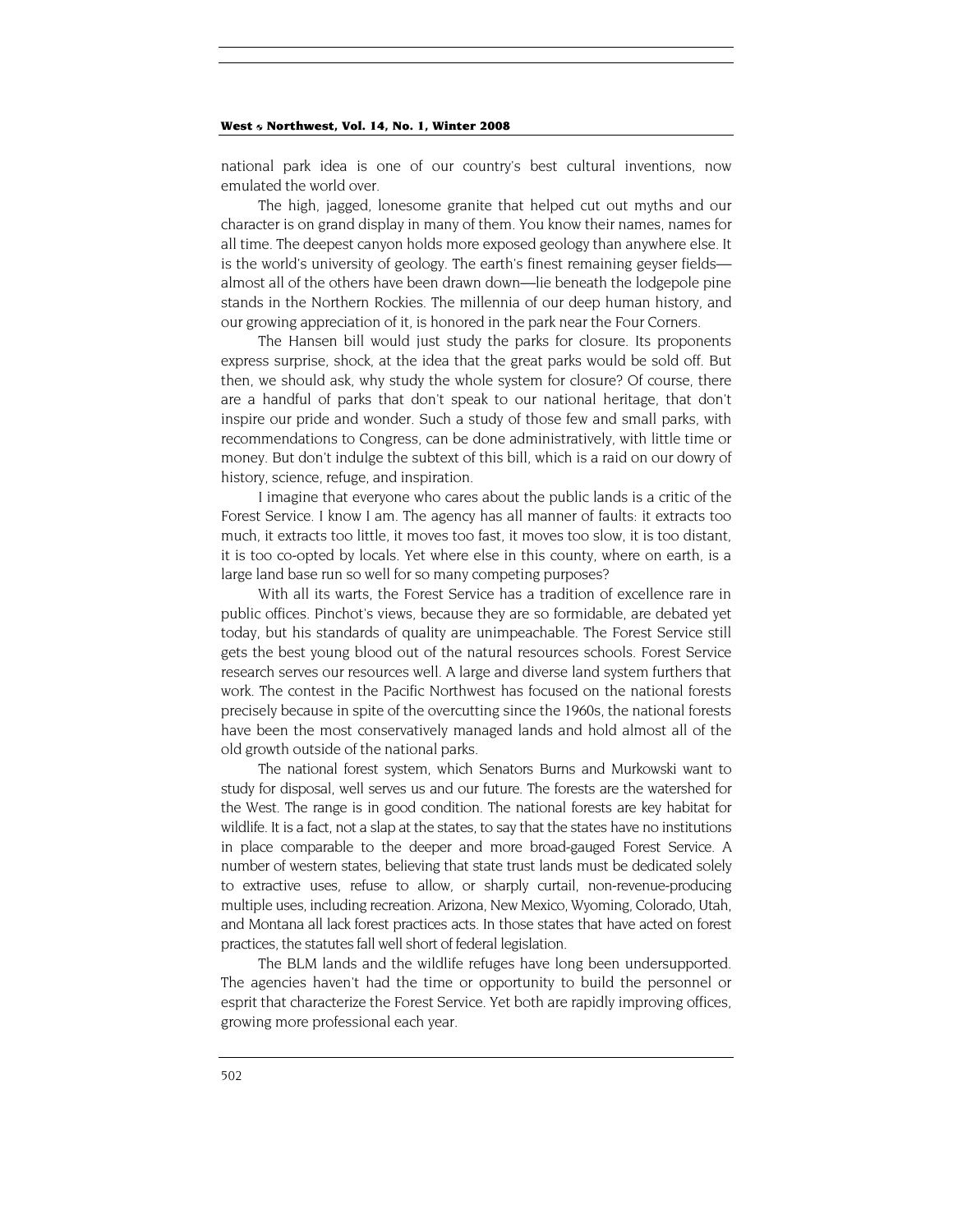national park idea is one of our country's best cultural inventions, now emulated the world over.

The high, jagged, lonesome granite that helped cut out myths and our character is on grand display in many of them. You know their names, names for all time. The deepest canyon holds more exposed geology than anywhere else. It is the world's university of geology. The earth's finest remaining geyser fields almost all of the others have been drawn down—lie beneath the lodgepole pine stands in the Northern Rockies. The millennia of our deep human history, and our growing appreciation of it, is honored in the park near the Four Corners.

The Hansen bill would just study the parks for closure. Its proponents express surprise, shock, at the idea that the great parks would be sold off. But then, we should ask, why study the whole system for closure? Of course, there are a handful of parks that don't speak to our national heritage, that don't inspire our pride and wonder. Such a study of those few and small parks, with recommendations to Congress, can be done administratively, with little time or money. But don't indulge the subtext of this bill, which is a raid on our dowry of history, science, refuge, and inspiration.

I imagine that everyone who cares about the public lands is a critic of the Forest Service. I know I am. The agency has all manner of faults: it extracts too much, it extracts too little, it moves too fast, it moves too slow, it is too distant, it is too co-opted by locals. Yet where else in this county, where on earth, is a large land base run so well for so many competing purposes?

With all its warts, the Forest Service has a tradition of excellence rare in public offices. Pinchot's views, because they are so formidable, are debated yet today, but his standards of quality are unimpeachable. The Forest Service still gets the best young blood out of the natural resources schools. Forest Service research serves our resources well. A large and diverse land system furthers that work. The contest in the Pacific Northwest has focused on the national forests precisely because in spite of the overcutting since the 1960s, the national forests have been the most conservatively managed lands and hold almost all of the old growth outside of the national parks.

The national forest system, which Senators Burns and Murkowski want to study for disposal, well serves us and our future. The forests are the watershed for the West. The range is in good condition. The national forests are key habitat for wildlife. It is a fact, not a slap at the states, to say that the states have no institutions in place comparable to the deeper and more broad-gauged Forest Service. A number of western states, believing that state trust lands must be dedicated solely to extractive uses, refuse to allow, or sharply curtail, non-revenue-producing multiple uses, including recreation. Arizona, New Mexico, Wyoming, Colorado, Utah, and Montana all lack forest practices acts. In those states that have acted on forest practices, the statutes fall well short of federal legislation.

The BLM lands and the wildlife refuges have long been undersupported. The agencies haven't had the time or opportunity to build the personnel or esprit that characterize the Forest Service. Yet both are rapidly improving offices, growing more professional each year.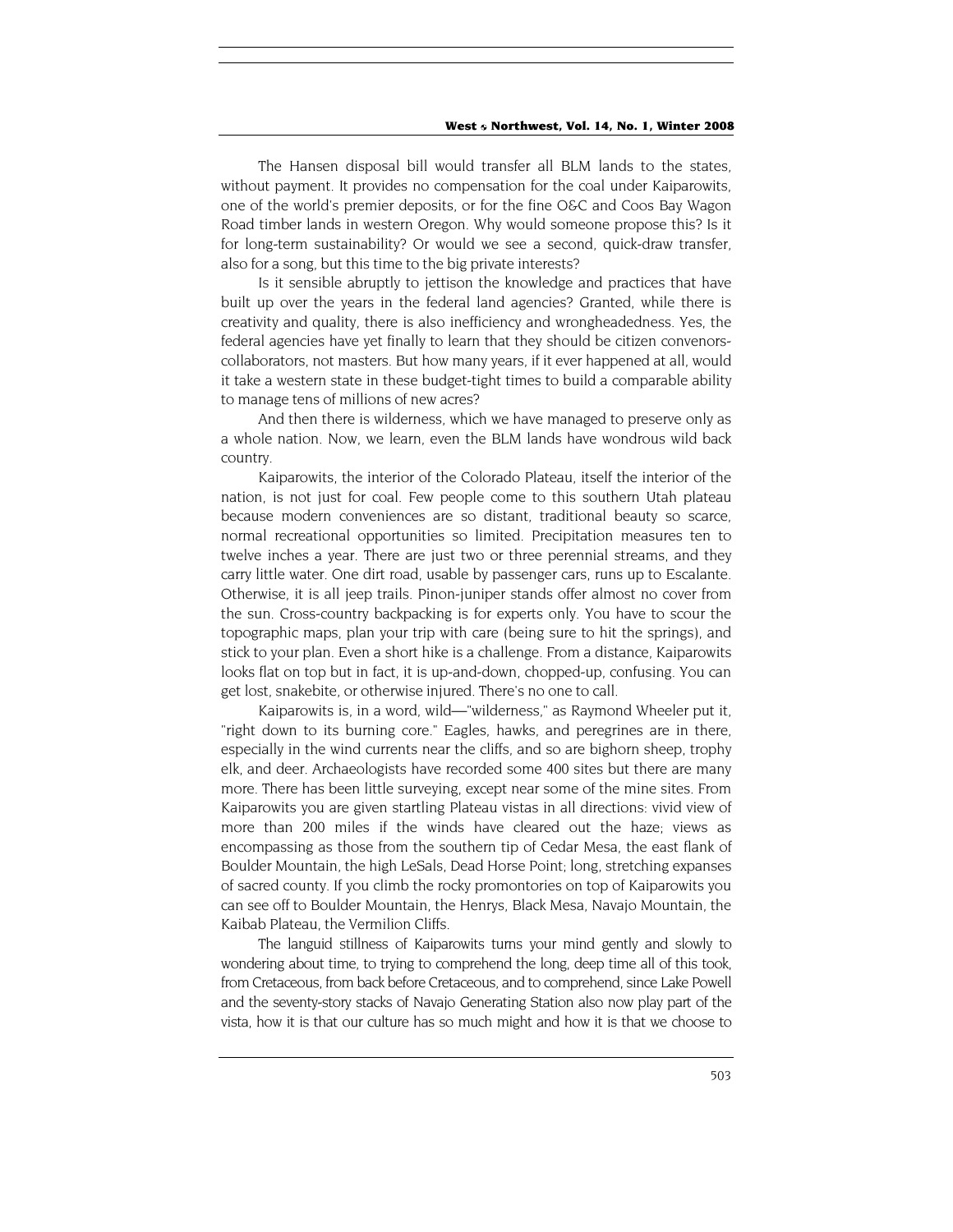The Hansen disposal bill would transfer all BLM lands to the states, without payment. It provides no compensation for the coal under Kaiparowits, one of the world's premier deposits, or for the fine O&C and Coos Bay Wagon Road timber lands in western Oregon. Why would someone propose this? Is it for long-term sustainability? Or would we see a second, quick-draw transfer, also for a song, but this time to the big private interests?

Is it sensible abruptly to jettison the knowledge and practices that have built up over the years in the federal land agencies? Granted, while there is creativity and quality, there is also inefficiency and wrongheadedness. Yes, the federal agencies have yet finally to learn that they should be citizen convenorscollaborators, not masters. But how many years, if it ever happened at all, would it take a western state in these budget-tight times to build a comparable ability to manage tens of millions of new acres?

And then there is wilderness, which we have managed to preserve only as a whole nation. Now, we learn, even the BLM lands have wondrous wild back country.

Kaiparowits, the interior of the Colorado Plateau, itself the interior of the nation, is not just for coal. Few people come to this southern Utah plateau because modern conveniences are so distant, traditional beauty so scarce, normal recreational opportunities so limited. Precipitation measures ten to twelve inches a year. There are just two or three perennial streams, and they carry little water. One dirt road, usable by passenger cars, runs up to Escalante. Otherwise, it is all jeep trails. Pinon-juniper stands offer almost no cover from the sun. Cross-country backpacking is for experts only. You have to scour the topographic maps, plan your trip with care (being sure to hit the springs), and stick to your plan. Even a short hike is a challenge. From a distance, Kaiparowits looks flat on top but in fact, it is up-and-down, chopped-up, confusing. You can get lost, snakebite, or otherwise injured. There's no one to call.

Kaiparowits is, in a word, wild—"wilderness," as Raymond Wheeler put it, "right down to its burning core." Eagles, hawks, and peregrines are in there, especially in the wind currents near the cliffs, and so are bighorn sheep, trophy elk, and deer. Archaeologists have recorded some 400 sites but there are many more. There has been little surveying, except near some of the mine sites. From Kaiparowits you are given startling Plateau vistas in all directions: vivid view of more than 200 miles if the winds have cleared out the haze; views as encompassing as those from the southern tip of Cedar Mesa, the east flank of Boulder Mountain, the high LeSals, Dead Horse Point; long, stretching expanses of sacred county. If you climb the rocky promontories on top of Kaiparowits you can see off to Boulder Mountain, the Henrys, Black Mesa, Navajo Mountain, the Kaibab Plateau, the Vermilion Cliffs.

The languid stillness of Kaiparowits turns your mind gently and slowly to wondering about time, to trying to comprehend the long, deep time all of this took, from Cretaceous, from back before Cretaceous, and to comprehend, since Lake Powell and the seventy-story stacks of Navajo Generating Station also now play part of the vista, how it is that our culture has so much might and how it is that we choose to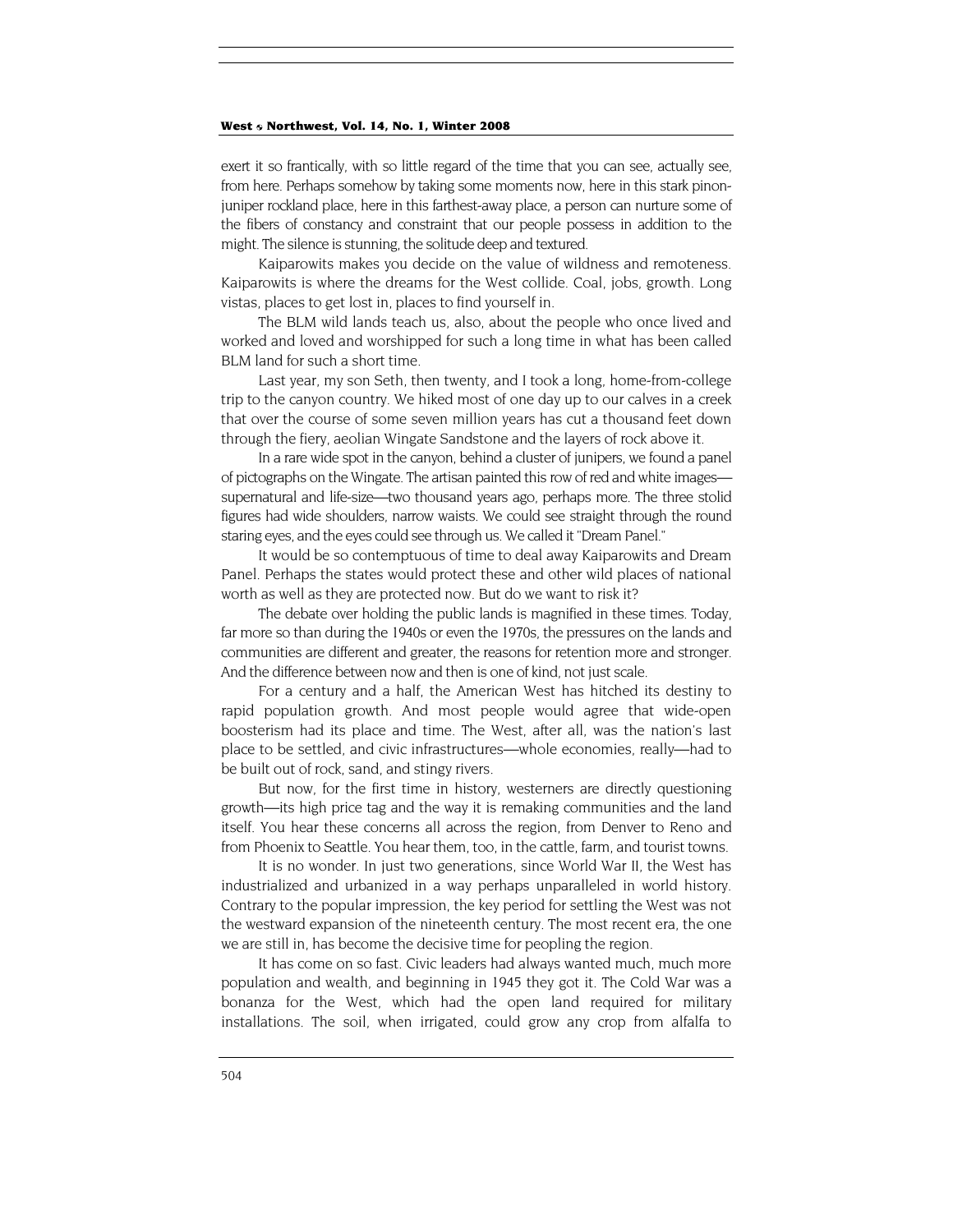exert it so frantically, with so little regard of the time that you can see, actually see, from here. Perhaps somehow by taking some moments now, here in this stark pinonjuniper rockland place, here in this farthest-away place, a person can nurture some of the fibers of constancy and constraint that our people possess in addition to the might. The silence is stunning, the solitude deep and textured.

Kaiparowits makes you decide on the value of wildness and remoteness. Kaiparowits is where the dreams for the West collide. Coal, jobs, growth. Long vistas, places to get lost in, places to find yourself in.

The BLM wild lands teach us, also, about the people who once lived and worked and loved and worshipped for such a long time in what has been called BLM land for such a short time.

Last year, my son Seth, then twenty, and I took a long, home-from-college trip to the canyon country. We hiked most of one day up to our calves in a creek that over the course of some seven million years has cut a thousand feet down through the fiery, aeolian Wingate Sandstone and the layers of rock above it.

In a rare wide spot in the canyon, behind a cluster of junipers, we found a panel of pictographs on the Wingate. The artisan painted this row of red and white images supernatural and life-size—two thousand years ago, perhaps more. The three stolid figures had wide shoulders, narrow waists. We could see straight through the round staring eyes, and the eyes could see through us. We called it "Dream Panel."

It would be so contemptuous of time to deal away Kaiparowits and Dream Panel. Perhaps the states would protect these and other wild places of national worth as well as they are protected now. But do we want to risk it?

The debate over holding the public lands is magnified in these times. Today, far more so than during the 1940s or even the 1970s, the pressures on the lands and communities are different and greater, the reasons for retention more and stronger. And the difference between now and then is one of kind, not just scale.

For a century and a half, the American West has hitched its destiny to rapid population growth. And most people would agree that wide-open boosterism had its place and time. The West, after all, was the nation's last place to be settled, and civic infrastructures—whole economies, really—had to be built out of rock, sand, and stingy rivers.

But now, for the first time in history, westerners are directly questioning growth—its high price tag and the way it is remaking communities and the land itself. You hear these concerns all across the region, from Denver to Reno and from Phoenix to Seattle. You hear them, too, in the cattle, farm, and tourist towns.

It is no wonder. In just two generations, since World War II, the West has industrialized and urbanized in a way perhaps unparalleled in world history. Contrary to the popular impression, the key period for settling the West was not the westward expansion of the nineteenth century. The most recent era, the one we are still in, has become the decisive time for peopling the region.

It has come on so fast. Civic leaders had always wanted much, much more population and wealth, and beginning in 1945 they got it. The Cold War was a bonanza for the West, which had the open land required for military installations. The soil, when irrigated, could grow any crop from alfalfa to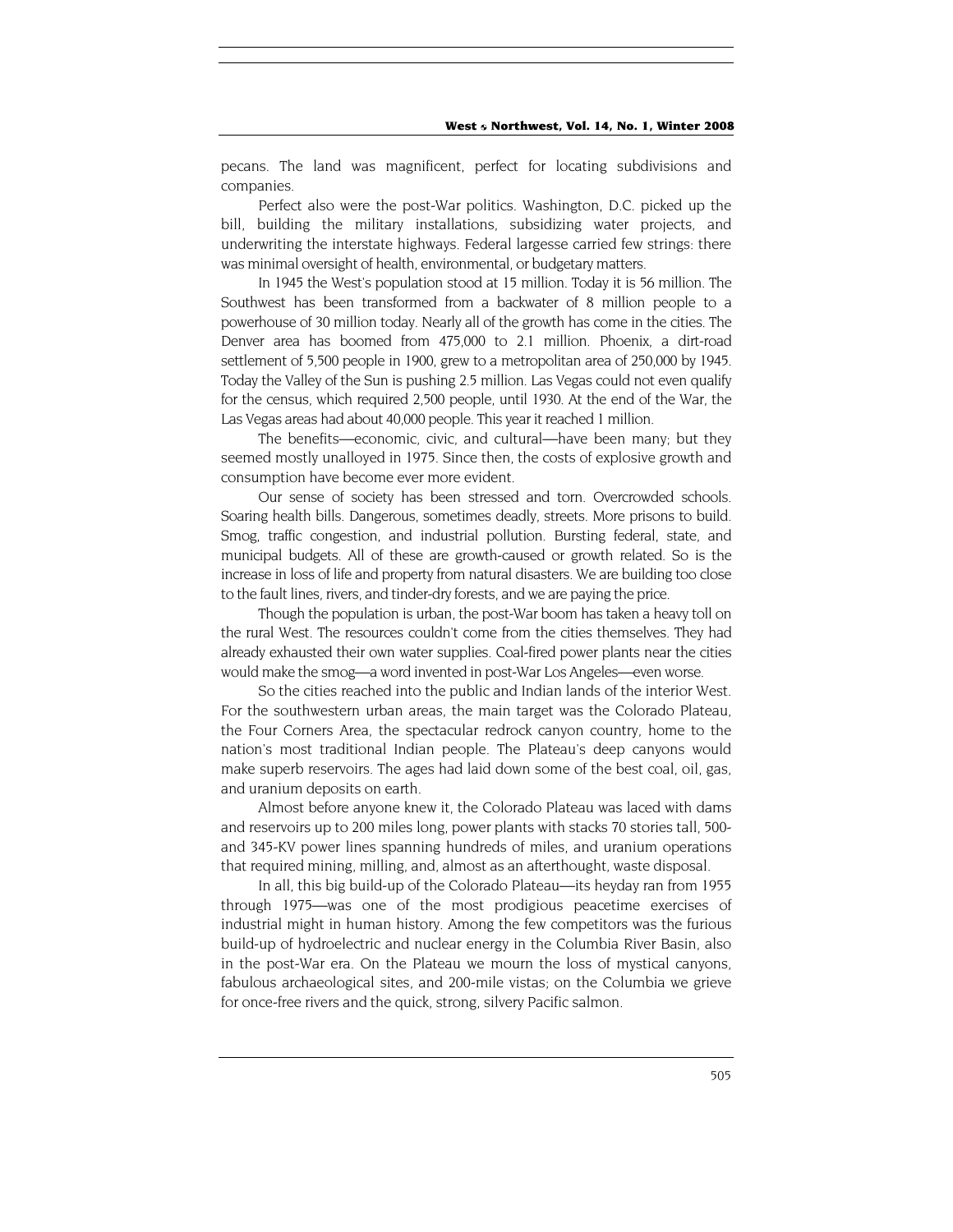pecans. The land was magnificent, perfect for locating subdivisions and companies.

Perfect also were the post-War politics. Washington, D.C. picked up the bill, building the military installations, subsidizing water projects, and underwriting the interstate highways. Federal largesse carried few strings: there was minimal oversight of health, environmental, or budgetary matters.

In 1945 the West's population stood at 15 million. Today it is 56 million. The Southwest has been transformed from a backwater of 8 million people to a powerhouse of 30 million today. Nearly all of the growth has come in the cities. The Denver area has boomed from 475,000 to 2.1 million. Phoenix, a dirt-road settlement of 5,500 people in 1900, grew to a metropolitan area of 250,000 by 1945. Today the Valley of the Sun is pushing 2.5 million. Las Vegas could not even qualify for the census, which required 2,500 people, until 1930. At the end of the War, the Las Vegas areas had about 40,000 people. This year it reached 1 million.

The benefits—economic, civic, and cultural—have been many; but they seemed mostly unalloyed in 1975. Since then, the costs of explosive growth and consumption have become ever more evident.

Our sense of society has been stressed and torn. Overcrowded schools. Soaring health bills. Dangerous, sometimes deadly, streets. More prisons to build. Smog, traffic congestion, and industrial pollution. Bursting federal, state, and municipal budgets. All of these are growth-caused or growth related. So is the increase in loss of life and property from natural disasters. We are building too close to the fault lines, rivers, and tinder-dry forests, and we are paying the price.

Though the population is urban, the post-War boom has taken a heavy toll on the rural West. The resources couldn't come from the cities themselves. They had already exhausted their own water supplies. Coal-fired power plants near the cities would make the smog—a word invented in post-War Los Angeles—even worse.

So the cities reached into the public and Indian lands of the interior West. For the southwestern urban areas, the main target was the Colorado Plateau, the Four Corners Area, the spectacular redrock canyon country, home to the nation's most traditional Indian people. The Plateau's deep canyons would make superb reservoirs. The ages had laid down some of the best coal, oil, gas, and uranium deposits on earth.

Almost before anyone knew it, the Colorado Plateau was laced with dams and reservoirs up to 200 miles long, power plants with stacks 70 stories tall, 500 and 345-KV power lines spanning hundreds of miles, and uranium operations that required mining, milling, and, almost as an afterthought, waste disposal.

In all, this big build-up of the Colorado Plateau—its heyday ran from 1955 through 1975—was one of the most prodigious peacetime exercises of industrial might in human history. Among the few competitors was the furious build-up of hydroelectric and nuclear energy in the Columbia River Basin, also in the post-War era. On the Plateau we mourn the loss of mystical canyons, fabulous archaeological sites, and 200-mile vistas; on the Columbia we grieve for once-free rivers and the quick, strong, silvery Pacific salmon.